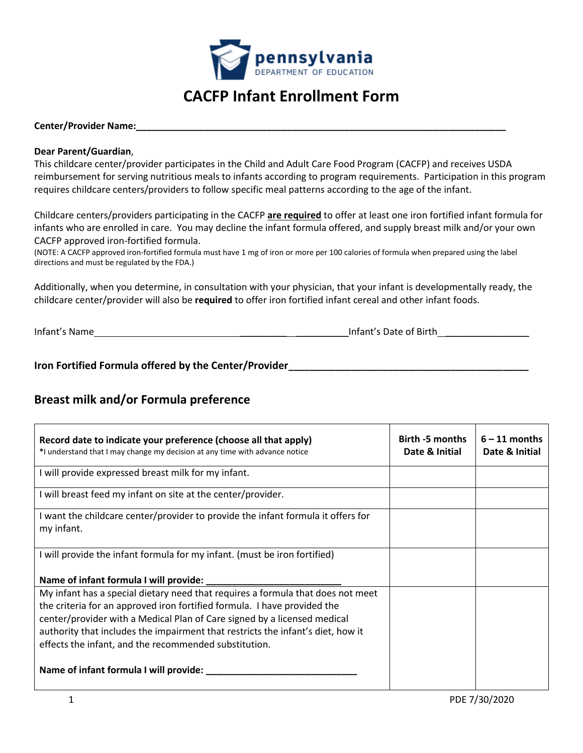

# **CACFP Infant Enrollment Form**

#### **Center/Provider Name:\_\_\_\_\_\_\_\_\_\_\_\_\_\_\_\_\_\_\_\_\_\_\_\_\_\_\_\_\_\_\_\_\_\_\_\_\_\_\_\_\_\_\_\_\_\_\_\_\_\_\_\_\_\_\_\_\_\_\_\_\_\_\_\_\_\_\_\_\_\_\_**

#### **Dear Parent/Guardian**,

This childcare center/provider participates in the Child and Adult Care Food Program (CACFP) and receives USDA reimbursement for serving nutritious meals to infants according to program requirements. Participation in this program requires childcare centers/providers to follow specific meal patterns according to the age of the infant.

Childcare centers/providers participating in the CACFP **are required** to offer at least one iron fortified infant formula for infants who are enrolled in care. You may decline the infant formula offered, and supply breast milk and/or your own CACFP approved iron-fortified formula.

(NOTE: A CACFP approved iron-fortified formula must have 1 mg of iron or more per 100 calories of formula when prepared using the label directions and must be regulated by the FDA.)

Additionally, when you determine, in consultation with your physician, that your infant is developmentally ready, the childcare center/provider will also be **required** to offer iron fortified infant cereal and other infant foods.

Infant's Name \_\_\_\_\_\_\_\_\_ \_\_\_\_\_\_\_\_\_\_Infant's Date of Birth \_\_\_\_\_\_\_\_\_\_\_\_\_\_\_\_

**Iron Fortified Formula offered by the Center/Provider\_\_\_\_\_\_\_\_\_\_\_\_\_\_\_\_\_\_\_\_\_\_\_\_\_\_\_\_\_\_\_\_\_\_\_\_\_\_\_\_\_\_\_\_\_\_**

## **Breast milk and/or Formula preference**

| Record date to indicate your preference (choose all that apply)<br>*I understand that I may change my decision at any time with advance notice | Birth -5 months<br>Date & Initial | $6 - 11$ months<br>Date & Initial |
|------------------------------------------------------------------------------------------------------------------------------------------------|-----------------------------------|-----------------------------------|
| I will provide expressed breast milk for my infant.                                                                                            |                                   |                                   |
| I will breast feed my infant on site at the center/provider.                                                                                   |                                   |                                   |
| I want the childcare center/provider to provide the infant formula it offers for<br>my infant.                                                 |                                   |                                   |
| I will provide the infant formula for my infant. (must be iron fortified)                                                                      |                                   |                                   |
| Name of infant formula I will provide: _____________                                                                                           |                                   |                                   |
| My infant has a special dietary need that requires a formula that does not meet                                                                |                                   |                                   |
| the criteria for an approved iron fortified formula. I have provided the                                                                       |                                   |                                   |
| center/provider with a Medical Plan of Care signed by a licensed medical                                                                       |                                   |                                   |
| authority that includes the impairment that restricts the infant's diet, how it                                                                |                                   |                                   |
| effects the infant, and the recommended substitution.                                                                                          |                                   |                                   |
| Name of infant formula I will provide: ___                                                                                                     |                                   |                                   |